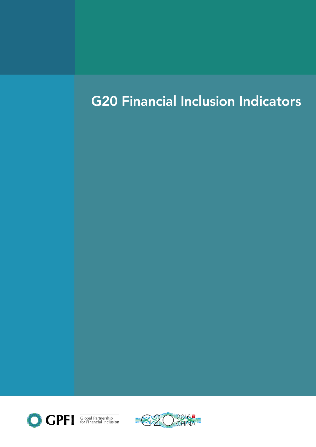# G20 Financial Inclusion Indicators



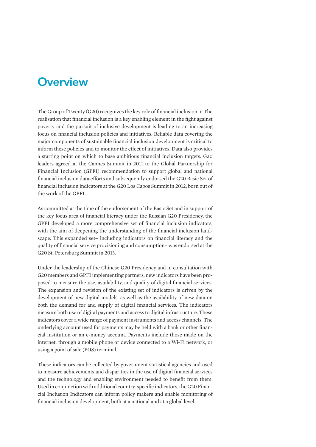### **Overview**

The Group of Twenty (G20) recognizes the key role of financial inclusion in The realisation that financial inclusion is a key enabling element in the fight against poverty and the pursuit of inclusive development is leading to an increasing focus on financial inclusion policies and initiatives. Reliable data covering the major components of sustainable financial inclusion development is critical to inform these policies and to monitor the effect of initiatives. Data also provides a starting point on which to base ambitious financial inclusion targets. G20 leaders agreed at the Cannes Summit in 2011 to the Global Partnership for Financial Inclusion (GPFI) recommendation to support global and national financial inclusion data efforts and subsequently endorsed the G20 Basic Set of financial inclusion indicators at the G20 Los Cabos Summit in 2012, born out of the work of the GPFI.

As committed at the time of the endorsement of the Basic Set and in support of the key focus area of financial literacy under the Russian G20 Presidency, the GPFI developed a more comprehensive set of financial inclusion indicators, with the aim of deepening the understanding of the financial inclusion landscape. This expanded set– including indicators on financial literacy and the quality of financial service provisioning and consumption– was endorsed at the G20 St. Petersburg Summit in 2013.

Under the leadership of the Chinese G20 Presidency and in consultation with G20 members and GPFI implementing partners, new indicators have been proposed to measure the use, availability, and quality of digital financial services. The expansion and revision of the existing set of indicators is driven by the development of new digital models, as well as the availability of new data on both the demand for and supply of digital financial services. The indicators measure both use of digital payments and access to digital infrastructure. These indicators cover a wide range of payment instruments and access channels. The underlying account used for payments may be held with a bank or other financial institution or an e-money account. Payments include those made on the internet, through a mobile phone or device connected to a Wi-Fi network, or using a point of sale (POS) terminal.

These indicators can be collected by government statistical agencies and used to measure achievements and disparities in the use of digital financial services and the technology and enabling environment needed to benefit from them. Used in conjunction with additional country-specific indicators, the G20 Financial Inclusion Indicators can inform policy makers and enable monitoring of financial inclusion development, both at a national and at a global level.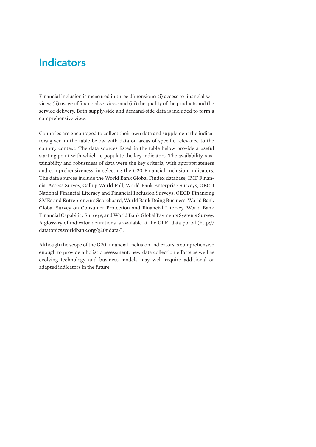# Indicators

Financial inclusion is measured in three dimensions: (i) access to financial services; (ii) usage of financial services; and (iii) the quality of the products and the service delivery. Both supply-side and demand-side data is included to form a comprehensive view.

Countries are encouraged to collect their own data and supplement the indicators given in the table below with data on areas of specific relevance to the country context. The data sources listed in the table below provide a useful starting point with which to populate the key indicators. The availability, sustainability and robustness of data were the key criteria, with appropriateness and comprehensiveness, in selecting the G20 Financial Inclusion Indicators. The data sources include the World Bank Global Findex database, IMF Financial Access Survey, Gallup World Poll, World Bank Enterprise Surveys, OECD National Financial Literacy and Financial Inclusion Surveys, OECD Financing SMEs and Entrepreneurs Scoreboard, World Bank Doing Business, World Bank Global Survey on Consumer Protection and Financial Literacy, World Bank Financial Capability Surveys, and World Bank Global Payments Systems Survey. A glossary of indicator definitions is available at the GPFI data portal (http:// datatopics.worldbank.org/g20fidata/).

Although the scope of the G20 Financial Inclusion Indicators is comprehensive enough to provide a holistic assessment, new data collection efforts as well as evolving technology and business models may well require additional or adapted indicators in the future.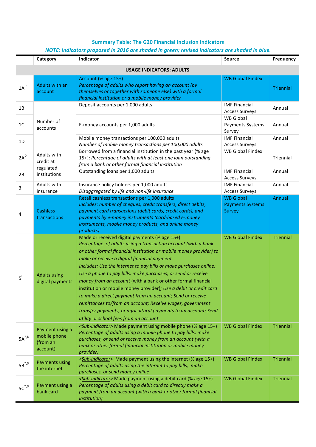#### **Summary Table: The G20 Financial Inclusion Indicators**

#### *NOTE: Indicators proposed in 2016 are shaded in green; revised indicators are shaded in blue.*

|                                 | Category                                                | Indicator                                                                                                                                                                                                                                                                                                                                                                                                                                                                                                                                                                                                                                                                                                                                            | <b>Source</b>                                         | Frequency        |  |
|---------------------------------|---------------------------------------------------------|------------------------------------------------------------------------------------------------------------------------------------------------------------------------------------------------------------------------------------------------------------------------------------------------------------------------------------------------------------------------------------------------------------------------------------------------------------------------------------------------------------------------------------------------------------------------------------------------------------------------------------------------------------------------------------------------------------------------------------------------------|-------------------------------------------------------|------------------|--|
| <b>USAGE INDICATORS: ADULTS</b> |                                                         |                                                                                                                                                                                                                                                                                                                                                                                                                                                                                                                                                                                                                                                                                                                                                      |                                                       |                  |  |
| $1A^D$                          | <b>Adults with an</b><br>account                        | Account (% age 15+)<br>Percentage of adults who report having an account (by<br>themselves or together with someone else) with a formal<br>financial institution or a mobile money provider                                                                                                                                                                                                                                                                                                                                                                                                                                                                                                                                                          | <b>WB Global Findex</b>                               | Triennial        |  |
| 1B                              | Number of<br>accounts                                   | Deposit accounts per 1,000 adults                                                                                                                                                                                                                                                                                                                                                                                                                                                                                                                                                                                                                                                                                                                    | <b>IMF Financial</b><br><b>Access Surveys</b>         | Annual           |  |
| 1 <sub>C</sub>                  |                                                         | E-money accounts per 1,000 adults                                                                                                                                                                                                                                                                                                                                                                                                                                                                                                                                                                                                                                                                                                                    | <b>WB Global</b><br>Payments Systems<br>Survey        | Annual           |  |
| 1D                              |                                                         | Mobile money transactions per 100,000 adults<br>Number of mobile money transactions per 100,000 adults                                                                                                                                                                                                                                                                                                                                                                                                                                                                                                                                                                                                                                               | <b>IMF Financial</b><br><b>Access Surveys</b>         | Annual           |  |
| $2A^D$                          | Adults with<br>credit at<br>regulated                   | Borrowed from a financial institution in the past year (% age<br>15+): Percentage of adults with at least one loan outstanding<br>from a bank or other formal financial institution                                                                                                                                                                                                                                                                                                                                                                                                                                                                                                                                                                  | <b>WB Global Findex</b>                               | Triennial        |  |
| 2B                              | institutions                                            | Outstanding loans per 1,000 adults                                                                                                                                                                                                                                                                                                                                                                                                                                                                                                                                                                                                                                                                                                                   | <b>IMF Financial</b><br><b>Access Surveys</b>         | Annual           |  |
| 3                               | Adults with<br>insurance                                | Insurance policy holders per 1,000 adults<br>Disaggregated by life and non-life insurance                                                                                                                                                                                                                                                                                                                                                                                                                                                                                                                                                                                                                                                            | <b>IMF Financial</b><br><b>Access Surveys</b>         | Annual           |  |
| 4                               | <b>Cashless</b><br>transactions                         | Retail cashless transactions per 1,000 adults<br>Includes: number of cheques, credit transfers, direct debits,<br>payment card transactions (debit cards, credit cards), and<br>payments by e-money instruments (card-based e-money<br>instruments, mobile money products, and online money<br>products)                                                                                                                                                                                                                                                                                                                                                                                                                                             | <b>WB Global</b><br><b>Payments Systems</b><br>Survey | Annual           |  |
| $5^D$                           | <b>Adults using</b><br>digital payments                 | Made or received digital payments (% age 15+)<br>Percentage of adults using a transaction account (with a bank<br>or other formal financial institution or mobile money provider) to<br>make or receive a digital financial payment<br>Includes: Use the internet to pay bills or make purchases online;<br>Use a phone to pay bills, make purchases, or send or receive<br>money from an account (with a bank or other formal financial<br>institution or mobile money provider); Use a debit or credit card<br>to make a direct payment from an account; Send or receive<br>remittances to/from an account; Receive wages, government<br>transfer payments, or agricultural payments to an account; Send<br>utility or school fees from an account | <b>WB Global Findex</b>                               | <b>Triennial</b> |  |
| $\mathsf{5A}^{*,\mathsf{D}}$    | Payment using a<br>mobile phone<br>(from an<br>account) | <sub-indicator> Made payment using mobile phone (% age 15+)<br/>Percentage of adults using a mobile phone to pay bills, make<br/>purchases, or send or receive money from an account (with a<br/>bank or other formal financial institution or mobile money<br/>provider)</sub-indicator>                                                                                                                                                                                                                                                                                                                                                                                                                                                            | <b>WB Global Findex</b>                               | <b>Triennial</b> |  |
| $5B^*{}^{,D}$                   | <b>Payments using</b><br>the internet                   | <sub-indicator> Made payment using the internet (% age 15+)<br/>Percentage of adults using the internet to pay bills, make<br/>purchases, or send money online</sub-indicator>                                                                                                                                                                                                                                                                                                                                                                                                                                                                                                                                                                       | <b>WB Global Findex</b>                               | <b>Triennial</b> |  |
| $5c^{*,D}$                      | Payment using a<br>bank card                            | <sub-indicator> Made payment using a debit card (% age 15+)<br/>Percentage of adults using a debit card to directly make a<br/>payment from an account (with a bank or other formal financial<br/><i>institution</i>)</sub-indicator>                                                                                                                                                                                                                                                                                                                                                                                                                                                                                                                | <b>WB Global Findex</b>                               | <b>Triennial</b> |  |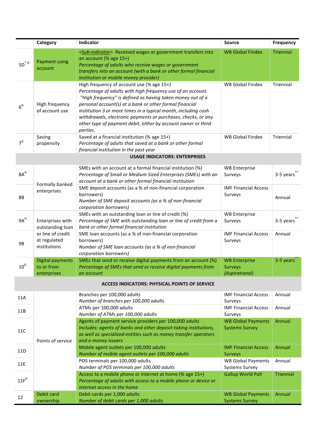|                              | Category                                          | Indicator                                                                                                                                                                                                                                                                                                                                                                                                                                         | <b>Source</b>                                      | <b>Frequency</b> |
|------------------------------|---------------------------------------------------|---------------------------------------------------------------------------------------------------------------------------------------------------------------------------------------------------------------------------------------------------------------------------------------------------------------------------------------------------------------------------------------------------------------------------------------------------|----------------------------------------------------|------------------|
| $\mathsf{5D}^{*,\mathsf{D}}$ | <b>Payment using</b><br>account                   | <sub-indicator> Received wages or government transfers into<br/>an account (% age 15+)<br/>Percentage of adults who receive wages or government<br/>transfers into an account (with a bank or other formal financial<br/>institution or mobile money provider)</sub-indicator>                                                                                                                                                                    | <b>WB Global Findex</b>                            | <b>Triennial</b> |
| 6 <sup>D</sup>               | High frequency<br>of account use                  | High frequency of account use (% age 15+)<br>Percentage of adults with high frequency use of an account.<br>"High frequency" is defined as having taken money out of a<br>personal account(s) at a bank or other formal financial<br>institution 3 or more times in a typical month, including cash<br>withdrawals, electronic payments or purchases, checks, or any<br>other type of payment debit, either by account owner or third<br>parties. | <b>WB Global Findex</b>                            | Triennial        |
| $7^D$                        | Saving<br>propensity                              | Saved at a financial institution (% age 15+)<br>Percentage of adults that saved at a bank or other formal                                                                                                                                                                                                                                                                                                                                         | <b>WB Global Findex</b>                            | Triennial        |
|                              |                                                   | financial institution in the past year<br><b>USAGE INDICATORS: ENTERPRISES</b>                                                                                                                                                                                                                                                                                                                                                                    |                                                    |                  |
|                              |                                                   |                                                                                                                                                                                                                                                                                                                                                                                                                                                   |                                                    |                  |
| $8A^G$                       |                                                   | SMEs with an account at a formal financial institution (%)<br>Percentage of Small or Medium Sized Enterprises (SMEs) with an<br>account at a bank or other formal financial institution                                                                                                                                                                                                                                                           | <b>WB Enterprise</b><br>Surveys                    | 3-5 years        |
| 8B                           | Formally banked<br>enterprises                    | SME deposit accounts (as a % of non-financial corporation<br>borrowers)<br>Number of SME deposit accounts (as a % of non-financial<br>corporation borrowers)                                                                                                                                                                                                                                                                                      | <b>IMF Financial Access</b><br>Surveys             | Annual           |
| $9A^G$                       | Enterprises with<br>outstanding loan              | SMEs with an outstanding loan or line of credit (%)<br>Percentage of SME with outstanding loan or line of credit from a<br>bank or other formal financial institution                                                                                                                                                                                                                                                                             | <b>WB Enterprise</b><br>Surveys                    | 3-5 years        |
| 9B                           | or line of credit<br>at regulated<br>institutions | SME loan accounts (as a % of non-financial corporation<br>borrowers)<br>Number of SME loan accounts (as a % of non-financial<br>corporation borrowers)                                                                                                                                                                                                                                                                                            | <b>IMF Financial Access</b><br>Surveys             | Annual           |
|                              | <b>Digital payments</b>                           | SMEs that send or receive digital payments from an account (%)                                                                                                                                                                                                                                                                                                                                                                                    | <b>WB Enterprise</b>                               | 3-5 years        |
| 10 <sup>6</sup>              | to or from<br>enterprises                         | Percentage of SMEs that send or receive digital payments from<br>an account                                                                                                                                                                                                                                                                                                                                                                       | <b>Surveys</b><br>(Aspirational)                   |                  |
|                              |                                                   | <b>ACCESS INDICATORS: PHYSICAL POINTS OF SERVICE</b>                                                                                                                                                                                                                                                                                                                                                                                              |                                                    |                  |
| 11A                          |                                                   | Branches per 100,000 adults<br>Number of branches per 100,000 adults                                                                                                                                                                                                                                                                                                                                                                              | <b>IMF Financial Access</b><br>Surveys             | Annual           |
| 11B                          | Points of service                                 | ATMs per 100,000 adults<br>Number of ATMs per 100,000 adults                                                                                                                                                                                                                                                                                                                                                                                      | <b>IMF Financial Access</b><br>Surveys             | Annual           |
| 11C                          |                                                   | Agents of payment service providers per 100,000 adults<br>Includes: agents of banks and other deposit-taking institutions,<br>as well as specialized entities such as money transfer operators<br>and e-money issuers                                                                                                                                                                                                                             | <b>WB Global Payments</b><br><b>Systems Survey</b> | Annual           |
| 11D                          |                                                   | Mobile agent outlets per 100,000 adults<br>Number of mobile agent outlets per 100,000 adults                                                                                                                                                                                                                                                                                                                                                      | <b>IMF Financial Access</b><br>Surveys             | Annual           |
| 11E                          |                                                   | POS terminals per 100,000 adults<br>Number of POS terminals per 100,000 adults                                                                                                                                                                                                                                                                                                                                                                    | <b>WB Global Payments</b><br><b>Systems Survey</b> | Annual           |
| 11F <sup>D</sup>             |                                                   | Access to a mobile phone or internet at home (% age 15+)<br>Percentage of adults with access to a mobile phone or device or<br>internet access in the home                                                                                                                                                                                                                                                                                        | <b>Gallup World Poll</b>                           | <b>Triennial</b> |
| 12                           | Debit card<br>ownership                           | Debit cards per 1,000 adults<br>Number of debit cards per 1,000 adults                                                                                                                                                                                                                                                                                                                                                                            | <b>WB Global Payments</b><br><b>Systems Survey</b> | Annual           |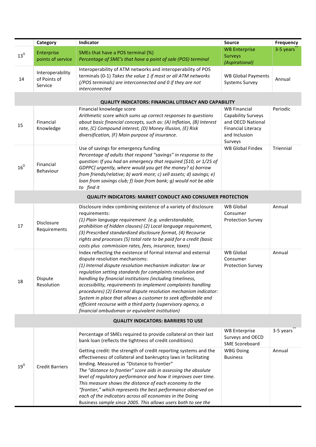| <b>WB Enterprise</b><br>3-5 years<br>Enterprise<br>SMEs that have a POS terminal (%)<br>$13^{\text{G}}$<br><b>Surveys</b><br>points of service<br>Percentage of SME's that have a point of sale (POS) terminal<br>(Aspirational)<br>Interoperability of ATM networks and interoperability of POS<br>Interoperability<br>terminals (0-1) Takes the value 1 if most or all ATM networks<br><b>WB Global Payments</b><br>of Points of<br>14<br>Annual<br>(/POS terminals) are interconnected and 0 if they are not<br><b>Systems Survey</b><br>Service<br>interconnected<br><b>QUALITY INDICATORS: FINANCIAL LITERACY AND CAPABILITY</b><br>Financial knowledge score<br><b>WB Financial</b><br>Periodic<br>Arithmetic score which sums up correct responses to questions<br>Capability Surveys<br>about basic financial concepts, such as: (A) Inflation, (B) Interest<br>and OECD National<br>Financial<br>15<br>Knowledge<br>rate, (C) Compound interest, (D) Money illusion, (E) Risk<br><b>Financial Literacy</b><br>diversification, (F) Main purpose of insurance.<br>and Inclusion<br>Surveys<br><b>WB Global Findex</b><br>Use of savings for emergency funding<br>Triennial<br>Percentage of adults that respond "savings" in response to the<br>question: If you had an emergency that required [\$10, or 1/25 of<br>Financial<br>$16^D$<br>GDPPC] urgently, where would you get the money? a) borrow<br>Behaviour<br>from friends/relative; b) work more; c) sell assets; d) savings; e)<br>loan from savings club; f) loan from bank; g) would not be able<br>to find it<br><b>QUALITY INDICATORS: MARKET CONDUCT AND CONSUMER PROTECTION</b><br>Disclosure index combining existence of a variety of disclosure<br>WB Global<br>Annual<br>requirements:<br>Consumer<br>(1) Plain language requirement (e.g. understandable,<br><b>Protection Survey</b><br>Disclosure<br>17<br>prohibition of hidden clauses) (2) Local language requirement,<br>Requirements<br>(3) Prescribed standardized disclosure format, (4) Recourse<br>rights and processes (5) total rate to be paid for a credit (basic<br>costs plus commission rates, fees, insurance, taxes)<br>Index reflecting the existence of formal internal and external<br><b>WB</b> Global<br>Annual<br>dispute resolution mechanisms:<br>Consumer<br>(1) Internal dispute resolution mechanism indicator: law or<br><b>Protection Survey</b><br>regulation setting standards for complaints resolution and<br>Dispute<br>handling by financial institutions (including timeliness,<br>18<br>Resolution<br>accessibility, requirements to implement complaints handling<br>procedures) (2) External dispute resolution mechanism indicator:<br>System in place that allows a customer to seek affordable and<br>efficient recourse with a third party (supervisory agency, a<br>financial ombudsman or equivalent institution)<br><b>QUALITY INDICATORS: BARRIERS TO USE</b><br><b>WB Enterprise</b><br>3-5 years<br>Percentage of SMEs required to provide collateral on their last<br>Surveys and OECD<br>bank loan (reflects the tightness of credit conditions)<br><b>SME Scoreboard</b><br>Getting credit: the strength of credit reporting systems and the<br><b>WBG Doing</b><br>Annual<br>effectiveness of collateral and bankruptcy laws in facilitating<br><b>Business</b><br>lending. Measured as "Distance to frontier"<br>$19^{\text{G}}$<br><b>Credit Barriers</b><br>The "distance to frontier" score aids in assessing the absolute<br>level of regulatory performance and how it improves over time. |  | Category | Indicator | <b>Source</b> | <b>Frequency</b> |
|----------------------------------------------------------------------------------------------------------------------------------------------------------------------------------------------------------------------------------------------------------------------------------------------------------------------------------------------------------------------------------------------------------------------------------------------------------------------------------------------------------------------------------------------------------------------------------------------------------------------------------------------------------------------------------------------------------------------------------------------------------------------------------------------------------------------------------------------------------------------------------------------------------------------------------------------------------------------------------------------------------------------------------------------------------------------------------------------------------------------------------------------------------------------------------------------------------------------------------------------------------------------------------------------------------------------------------------------------------------------------------------------------------------------------------------------------------------------------------------------------------------------------------------------------------------------------------------------------------------------------------------------------------------------------------------------------------------------------------------------------------------------------------------------------------------------------------------------------------------------------------------------------------------------------------------------------------------------------------------------------------------------------------------------------------------------------------------------------------------------------------------------------------------------------------------------------------------------------------------------------------------------------------------------------------------------------------------------------------------------------------------------------------------------------------------------------------------------------------------------------------------------------------------------------------------------------------------------------------------------------------------------------------------------------------------------------------------------------------------------------------------------------------------------------------------------------------------------------------------------------------------------------------------------------------------------------------------------------------------------------------------------------------------------------------------------------------------------------------------------------------------------------------------------------------------------------------------------------------------------------------------------------------------------------------------------------------------------------------------------------------------------------------------------------------------------------------------------------------------------------------------------------------------------------------------------------------------|--|----------|-----------|---------------|------------------|
|                                                                                                                                                                                                                                                                                                                                                                                                                                                                                                                                                                                                                                                                                                                                                                                                                                                                                                                                                                                                                                                                                                                                                                                                                                                                                                                                                                                                                                                                                                                                                                                                                                                                                                                                                                                                                                                                                                                                                                                                                                                                                                                                                                                                                                                                                                                                                                                                                                                                                                                                                                                                                                                                                                                                                                                                                                                                                                                                                                                                                                                                                                                                                                                                                                                                                                                                                                                                                                                                                                                                                                                        |  |          |           |               |                  |
|                                                                                                                                                                                                                                                                                                                                                                                                                                                                                                                                                                                                                                                                                                                                                                                                                                                                                                                                                                                                                                                                                                                                                                                                                                                                                                                                                                                                                                                                                                                                                                                                                                                                                                                                                                                                                                                                                                                                                                                                                                                                                                                                                                                                                                                                                                                                                                                                                                                                                                                                                                                                                                                                                                                                                                                                                                                                                                                                                                                                                                                                                                                                                                                                                                                                                                                                                                                                                                                                                                                                                                                        |  |          |           |               |                  |
|                                                                                                                                                                                                                                                                                                                                                                                                                                                                                                                                                                                                                                                                                                                                                                                                                                                                                                                                                                                                                                                                                                                                                                                                                                                                                                                                                                                                                                                                                                                                                                                                                                                                                                                                                                                                                                                                                                                                                                                                                                                                                                                                                                                                                                                                                                                                                                                                                                                                                                                                                                                                                                                                                                                                                                                                                                                                                                                                                                                                                                                                                                                                                                                                                                                                                                                                                                                                                                                                                                                                                                                        |  |          |           |               |                  |
|                                                                                                                                                                                                                                                                                                                                                                                                                                                                                                                                                                                                                                                                                                                                                                                                                                                                                                                                                                                                                                                                                                                                                                                                                                                                                                                                                                                                                                                                                                                                                                                                                                                                                                                                                                                                                                                                                                                                                                                                                                                                                                                                                                                                                                                                                                                                                                                                                                                                                                                                                                                                                                                                                                                                                                                                                                                                                                                                                                                                                                                                                                                                                                                                                                                                                                                                                                                                                                                                                                                                                                                        |  |          |           |               |                  |
|                                                                                                                                                                                                                                                                                                                                                                                                                                                                                                                                                                                                                                                                                                                                                                                                                                                                                                                                                                                                                                                                                                                                                                                                                                                                                                                                                                                                                                                                                                                                                                                                                                                                                                                                                                                                                                                                                                                                                                                                                                                                                                                                                                                                                                                                                                                                                                                                                                                                                                                                                                                                                                                                                                                                                                                                                                                                                                                                                                                                                                                                                                                                                                                                                                                                                                                                                                                                                                                                                                                                                                                        |  |          |           |               |                  |
|                                                                                                                                                                                                                                                                                                                                                                                                                                                                                                                                                                                                                                                                                                                                                                                                                                                                                                                                                                                                                                                                                                                                                                                                                                                                                                                                                                                                                                                                                                                                                                                                                                                                                                                                                                                                                                                                                                                                                                                                                                                                                                                                                                                                                                                                                                                                                                                                                                                                                                                                                                                                                                                                                                                                                                                                                                                                                                                                                                                                                                                                                                                                                                                                                                                                                                                                                                                                                                                                                                                                                                                        |  |          |           |               |                  |
|                                                                                                                                                                                                                                                                                                                                                                                                                                                                                                                                                                                                                                                                                                                                                                                                                                                                                                                                                                                                                                                                                                                                                                                                                                                                                                                                                                                                                                                                                                                                                                                                                                                                                                                                                                                                                                                                                                                                                                                                                                                                                                                                                                                                                                                                                                                                                                                                                                                                                                                                                                                                                                                                                                                                                                                                                                                                                                                                                                                                                                                                                                                                                                                                                                                                                                                                                                                                                                                                                                                                                                                        |  |          |           |               |                  |
|                                                                                                                                                                                                                                                                                                                                                                                                                                                                                                                                                                                                                                                                                                                                                                                                                                                                                                                                                                                                                                                                                                                                                                                                                                                                                                                                                                                                                                                                                                                                                                                                                                                                                                                                                                                                                                                                                                                                                                                                                                                                                                                                                                                                                                                                                                                                                                                                                                                                                                                                                                                                                                                                                                                                                                                                                                                                                                                                                                                                                                                                                                                                                                                                                                                                                                                                                                                                                                                                                                                                                                                        |  |          |           |               |                  |
|                                                                                                                                                                                                                                                                                                                                                                                                                                                                                                                                                                                                                                                                                                                                                                                                                                                                                                                                                                                                                                                                                                                                                                                                                                                                                                                                                                                                                                                                                                                                                                                                                                                                                                                                                                                                                                                                                                                                                                                                                                                                                                                                                                                                                                                                                                                                                                                                                                                                                                                                                                                                                                                                                                                                                                                                                                                                                                                                                                                                                                                                                                                                                                                                                                                                                                                                                                                                                                                                                                                                                                                        |  |          |           |               |                  |
|                                                                                                                                                                                                                                                                                                                                                                                                                                                                                                                                                                                                                                                                                                                                                                                                                                                                                                                                                                                                                                                                                                                                                                                                                                                                                                                                                                                                                                                                                                                                                                                                                                                                                                                                                                                                                                                                                                                                                                                                                                                                                                                                                                                                                                                                                                                                                                                                                                                                                                                                                                                                                                                                                                                                                                                                                                                                                                                                                                                                                                                                                                                                                                                                                                                                                                                                                                                                                                                                                                                                                                                        |  |          |           |               |                  |
|                                                                                                                                                                                                                                                                                                                                                                                                                                                                                                                                                                                                                                                                                                                                                                                                                                                                                                                                                                                                                                                                                                                                                                                                                                                                                                                                                                                                                                                                                                                                                                                                                                                                                                                                                                                                                                                                                                                                                                                                                                                                                                                                                                                                                                                                                                                                                                                                                                                                                                                                                                                                                                                                                                                                                                                                                                                                                                                                                                                                                                                                                                                                                                                                                                                                                                                                                                                                                                                                                                                                                                                        |  |          |           |               |                  |
|                                                                                                                                                                                                                                                                                                                                                                                                                                                                                                                                                                                                                                                                                                                                                                                                                                                                                                                                                                                                                                                                                                                                                                                                                                                                                                                                                                                                                                                                                                                                                                                                                                                                                                                                                                                                                                                                                                                                                                                                                                                                                                                                                                                                                                                                                                                                                                                                                                                                                                                                                                                                                                                                                                                                                                                                                                                                                                                                                                                                                                                                                                                                                                                                                                                                                                                                                                                                                                                                                                                                                                                        |  |          |           |               |                  |
|                                                                                                                                                                                                                                                                                                                                                                                                                                                                                                                                                                                                                                                                                                                                                                                                                                                                                                                                                                                                                                                                                                                                                                                                                                                                                                                                                                                                                                                                                                                                                                                                                                                                                                                                                                                                                                                                                                                                                                                                                                                                                                                                                                                                                                                                                                                                                                                                                                                                                                                                                                                                                                                                                                                                                                                                                                                                                                                                                                                                                                                                                                                                                                                                                                                                                                                                                                                                                                                                                                                                                                                        |  |          |           |               |                  |
|                                                                                                                                                                                                                                                                                                                                                                                                                                                                                                                                                                                                                                                                                                                                                                                                                                                                                                                                                                                                                                                                                                                                                                                                                                                                                                                                                                                                                                                                                                                                                                                                                                                                                                                                                                                                                                                                                                                                                                                                                                                                                                                                                                                                                                                                                                                                                                                                                                                                                                                                                                                                                                                                                                                                                                                                                                                                                                                                                                                                                                                                                                                                                                                                                                                                                                                                                                                                                                                                                                                                                                                        |  |          |           |               |                  |
|                                                                                                                                                                                                                                                                                                                                                                                                                                                                                                                                                                                                                                                                                                                                                                                                                                                                                                                                                                                                                                                                                                                                                                                                                                                                                                                                                                                                                                                                                                                                                                                                                                                                                                                                                                                                                                                                                                                                                                                                                                                                                                                                                                                                                                                                                                                                                                                                                                                                                                                                                                                                                                                                                                                                                                                                                                                                                                                                                                                                                                                                                                                                                                                                                                                                                                                                                                                                                                                                                                                                                                                        |  |          |           |               |                  |
|                                                                                                                                                                                                                                                                                                                                                                                                                                                                                                                                                                                                                                                                                                                                                                                                                                                                                                                                                                                                                                                                                                                                                                                                                                                                                                                                                                                                                                                                                                                                                                                                                                                                                                                                                                                                                                                                                                                                                                                                                                                                                                                                                                                                                                                                                                                                                                                                                                                                                                                                                                                                                                                                                                                                                                                                                                                                                                                                                                                                                                                                                                                                                                                                                                                                                                                                                                                                                                                                                                                                                                                        |  |          |           |               |                  |
|                                                                                                                                                                                                                                                                                                                                                                                                                                                                                                                                                                                                                                                                                                                                                                                                                                                                                                                                                                                                                                                                                                                                                                                                                                                                                                                                                                                                                                                                                                                                                                                                                                                                                                                                                                                                                                                                                                                                                                                                                                                                                                                                                                                                                                                                                                                                                                                                                                                                                                                                                                                                                                                                                                                                                                                                                                                                                                                                                                                                                                                                                                                                                                                                                                                                                                                                                                                                                                                                                                                                                                                        |  |          |           |               |                  |
|                                                                                                                                                                                                                                                                                                                                                                                                                                                                                                                                                                                                                                                                                                                                                                                                                                                                                                                                                                                                                                                                                                                                                                                                                                                                                                                                                                                                                                                                                                                                                                                                                                                                                                                                                                                                                                                                                                                                                                                                                                                                                                                                                                                                                                                                                                                                                                                                                                                                                                                                                                                                                                                                                                                                                                                                                                                                                                                                                                                                                                                                                                                                                                                                                                                                                                                                                                                                                                                                                                                                                                                        |  |          |           |               |                  |
|                                                                                                                                                                                                                                                                                                                                                                                                                                                                                                                                                                                                                                                                                                                                                                                                                                                                                                                                                                                                                                                                                                                                                                                                                                                                                                                                                                                                                                                                                                                                                                                                                                                                                                                                                                                                                                                                                                                                                                                                                                                                                                                                                                                                                                                                                                                                                                                                                                                                                                                                                                                                                                                                                                                                                                                                                                                                                                                                                                                                                                                                                                                                                                                                                                                                                                                                                                                                                                                                                                                                                                                        |  |          |           |               |                  |
|                                                                                                                                                                                                                                                                                                                                                                                                                                                                                                                                                                                                                                                                                                                                                                                                                                                                                                                                                                                                                                                                                                                                                                                                                                                                                                                                                                                                                                                                                                                                                                                                                                                                                                                                                                                                                                                                                                                                                                                                                                                                                                                                                                                                                                                                                                                                                                                                                                                                                                                                                                                                                                                                                                                                                                                                                                                                                                                                                                                                                                                                                                                                                                                                                                                                                                                                                                                                                                                                                                                                                                                        |  |          |           |               |                  |
|                                                                                                                                                                                                                                                                                                                                                                                                                                                                                                                                                                                                                                                                                                                                                                                                                                                                                                                                                                                                                                                                                                                                                                                                                                                                                                                                                                                                                                                                                                                                                                                                                                                                                                                                                                                                                                                                                                                                                                                                                                                                                                                                                                                                                                                                                                                                                                                                                                                                                                                                                                                                                                                                                                                                                                                                                                                                                                                                                                                                                                                                                                                                                                                                                                                                                                                                                                                                                                                                                                                                                                                        |  |          |           |               |                  |
|                                                                                                                                                                                                                                                                                                                                                                                                                                                                                                                                                                                                                                                                                                                                                                                                                                                                                                                                                                                                                                                                                                                                                                                                                                                                                                                                                                                                                                                                                                                                                                                                                                                                                                                                                                                                                                                                                                                                                                                                                                                                                                                                                                                                                                                                                                                                                                                                                                                                                                                                                                                                                                                                                                                                                                                                                                                                                                                                                                                                                                                                                                                                                                                                                                                                                                                                                                                                                                                                                                                                                                                        |  |          |           |               |                  |
|                                                                                                                                                                                                                                                                                                                                                                                                                                                                                                                                                                                                                                                                                                                                                                                                                                                                                                                                                                                                                                                                                                                                                                                                                                                                                                                                                                                                                                                                                                                                                                                                                                                                                                                                                                                                                                                                                                                                                                                                                                                                                                                                                                                                                                                                                                                                                                                                                                                                                                                                                                                                                                                                                                                                                                                                                                                                                                                                                                                                                                                                                                                                                                                                                                                                                                                                                                                                                                                                                                                                                                                        |  |          |           |               |                  |
|                                                                                                                                                                                                                                                                                                                                                                                                                                                                                                                                                                                                                                                                                                                                                                                                                                                                                                                                                                                                                                                                                                                                                                                                                                                                                                                                                                                                                                                                                                                                                                                                                                                                                                                                                                                                                                                                                                                                                                                                                                                                                                                                                                                                                                                                                                                                                                                                                                                                                                                                                                                                                                                                                                                                                                                                                                                                                                                                                                                                                                                                                                                                                                                                                                                                                                                                                                                                                                                                                                                                                                                        |  |          |           |               |                  |
|                                                                                                                                                                                                                                                                                                                                                                                                                                                                                                                                                                                                                                                                                                                                                                                                                                                                                                                                                                                                                                                                                                                                                                                                                                                                                                                                                                                                                                                                                                                                                                                                                                                                                                                                                                                                                                                                                                                                                                                                                                                                                                                                                                                                                                                                                                                                                                                                                                                                                                                                                                                                                                                                                                                                                                                                                                                                                                                                                                                                                                                                                                                                                                                                                                                                                                                                                                                                                                                                                                                                                                                        |  |          |           |               |                  |
|                                                                                                                                                                                                                                                                                                                                                                                                                                                                                                                                                                                                                                                                                                                                                                                                                                                                                                                                                                                                                                                                                                                                                                                                                                                                                                                                                                                                                                                                                                                                                                                                                                                                                                                                                                                                                                                                                                                                                                                                                                                                                                                                                                                                                                                                                                                                                                                                                                                                                                                                                                                                                                                                                                                                                                                                                                                                                                                                                                                                                                                                                                                                                                                                                                                                                                                                                                                                                                                                                                                                                                                        |  |          |           |               |                  |
|                                                                                                                                                                                                                                                                                                                                                                                                                                                                                                                                                                                                                                                                                                                                                                                                                                                                                                                                                                                                                                                                                                                                                                                                                                                                                                                                                                                                                                                                                                                                                                                                                                                                                                                                                                                                                                                                                                                                                                                                                                                                                                                                                                                                                                                                                                                                                                                                                                                                                                                                                                                                                                                                                                                                                                                                                                                                                                                                                                                                                                                                                                                                                                                                                                                                                                                                                                                                                                                                                                                                                                                        |  |          |           |               |                  |
|                                                                                                                                                                                                                                                                                                                                                                                                                                                                                                                                                                                                                                                                                                                                                                                                                                                                                                                                                                                                                                                                                                                                                                                                                                                                                                                                                                                                                                                                                                                                                                                                                                                                                                                                                                                                                                                                                                                                                                                                                                                                                                                                                                                                                                                                                                                                                                                                                                                                                                                                                                                                                                                                                                                                                                                                                                                                                                                                                                                                                                                                                                                                                                                                                                                                                                                                                                                                                                                                                                                                                                                        |  |          |           |               |                  |
|                                                                                                                                                                                                                                                                                                                                                                                                                                                                                                                                                                                                                                                                                                                                                                                                                                                                                                                                                                                                                                                                                                                                                                                                                                                                                                                                                                                                                                                                                                                                                                                                                                                                                                                                                                                                                                                                                                                                                                                                                                                                                                                                                                                                                                                                                                                                                                                                                                                                                                                                                                                                                                                                                                                                                                                                                                                                                                                                                                                                                                                                                                                                                                                                                                                                                                                                                                                                                                                                                                                                                                                        |  |          |           |               |                  |
|                                                                                                                                                                                                                                                                                                                                                                                                                                                                                                                                                                                                                                                                                                                                                                                                                                                                                                                                                                                                                                                                                                                                                                                                                                                                                                                                                                                                                                                                                                                                                                                                                                                                                                                                                                                                                                                                                                                                                                                                                                                                                                                                                                                                                                                                                                                                                                                                                                                                                                                                                                                                                                                                                                                                                                                                                                                                                                                                                                                                                                                                                                                                                                                                                                                                                                                                                                                                                                                                                                                                                                                        |  |          |           |               |                  |
|                                                                                                                                                                                                                                                                                                                                                                                                                                                                                                                                                                                                                                                                                                                                                                                                                                                                                                                                                                                                                                                                                                                                                                                                                                                                                                                                                                                                                                                                                                                                                                                                                                                                                                                                                                                                                                                                                                                                                                                                                                                                                                                                                                                                                                                                                                                                                                                                                                                                                                                                                                                                                                                                                                                                                                                                                                                                                                                                                                                                                                                                                                                                                                                                                                                                                                                                                                                                                                                                                                                                                                                        |  |          |           |               |                  |
|                                                                                                                                                                                                                                                                                                                                                                                                                                                                                                                                                                                                                                                                                                                                                                                                                                                                                                                                                                                                                                                                                                                                                                                                                                                                                                                                                                                                                                                                                                                                                                                                                                                                                                                                                                                                                                                                                                                                                                                                                                                                                                                                                                                                                                                                                                                                                                                                                                                                                                                                                                                                                                                                                                                                                                                                                                                                                                                                                                                                                                                                                                                                                                                                                                                                                                                                                                                                                                                                                                                                                                                        |  |          |           |               |                  |
|                                                                                                                                                                                                                                                                                                                                                                                                                                                                                                                                                                                                                                                                                                                                                                                                                                                                                                                                                                                                                                                                                                                                                                                                                                                                                                                                                                                                                                                                                                                                                                                                                                                                                                                                                                                                                                                                                                                                                                                                                                                                                                                                                                                                                                                                                                                                                                                                                                                                                                                                                                                                                                                                                                                                                                                                                                                                                                                                                                                                                                                                                                                                                                                                                                                                                                                                                                                                                                                                                                                                                                                        |  |          |           |               |                  |
|                                                                                                                                                                                                                                                                                                                                                                                                                                                                                                                                                                                                                                                                                                                                                                                                                                                                                                                                                                                                                                                                                                                                                                                                                                                                                                                                                                                                                                                                                                                                                                                                                                                                                                                                                                                                                                                                                                                                                                                                                                                                                                                                                                                                                                                                                                                                                                                                                                                                                                                                                                                                                                                                                                                                                                                                                                                                                                                                                                                                                                                                                                                                                                                                                                                                                                                                                                                                                                                                                                                                                                                        |  |          |           |               |                  |
|                                                                                                                                                                                                                                                                                                                                                                                                                                                                                                                                                                                                                                                                                                                                                                                                                                                                                                                                                                                                                                                                                                                                                                                                                                                                                                                                                                                                                                                                                                                                                                                                                                                                                                                                                                                                                                                                                                                                                                                                                                                                                                                                                                                                                                                                                                                                                                                                                                                                                                                                                                                                                                                                                                                                                                                                                                                                                                                                                                                                                                                                                                                                                                                                                                                                                                                                                                                                                                                                                                                                                                                        |  |          |           |               |                  |
|                                                                                                                                                                                                                                                                                                                                                                                                                                                                                                                                                                                                                                                                                                                                                                                                                                                                                                                                                                                                                                                                                                                                                                                                                                                                                                                                                                                                                                                                                                                                                                                                                                                                                                                                                                                                                                                                                                                                                                                                                                                                                                                                                                                                                                                                                                                                                                                                                                                                                                                                                                                                                                                                                                                                                                                                                                                                                                                                                                                                                                                                                                                                                                                                                                                                                                                                                                                                                                                                                                                                                                                        |  |          |           |               |                  |
|                                                                                                                                                                                                                                                                                                                                                                                                                                                                                                                                                                                                                                                                                                                                                                                                                                                                                                                                                                                                                                                                                                                                                                                                                                                                                                                                                                                                                                                                                                                                                                                                                                                                                                                                                                                                                                                                                                                                                                                                                                                                                                                                                                                                                                                                                                                                                                                                                                                                                                                                                                                                                                                                                                                                                                                                                                                                                                                                                                                                                                                                                                                                                                                                                                                                                                                                                                                                                                                                                                                                                                                        |  |          |           |               |                  |
|                                                                                                                                                                                                                                                                                                                                                                                                                                                                                                                                                                                                                                                                                                                                                                                                                                                                                                                                                                                                                                                                                                                                                                                                                                                                                                                                                                                                                                                                                                                                                                                                                                                                                                                                                                                                                                                                                                                                                                                                                                                                                                                                                                                                                                                                                                                                                                                                                                                                                                                                                                                                                                                                                                                                                                                                                                                                                                                                                                                                                                                                                                                                                                                                                                                                                                                                                                                                                                                                                                                                                                                        |  |          |           |               |                  |
|                                                                                                                                                                                                                                                                                                                                                                                                                                                                                                                                                                                                                                                                                                                                                                                                                                                                                                                                                                                                                                                                                                                                                                                                                                                                                                                                                                                                                                                                                                                                                                                                                                                                                                                                                                                                                                                                                                                                                                                                                                                                                                                                                                                                                                                                                                                                                                                                                                                                                                                                                                                                                                                                                                                                                                                                                                                                                                                                                                                                                                                                                                                                                                                                                                                                                                                                                                                                                                                                                                                                                                                        |  |          |           |               |                  |
|                                                                                                                                                                                                                                                                                                                                                                                                                                                                                                                                                                                                                                                                                                                                                                                                                                                                                                                                                                                                                                                                                                                                                                                                                                                                                                                                                                                                                                                                                                                                                                                                                                                                                                                                                                                                                                                                                                                                                                                                                                                                                                                                                                                                                                                                                                                                                                                                                                                                                                                                                                                                                                                                                                                                                                                                                                                                                                                                                                                                                                                                                                                                                                                                                                                                                                                                                                                                                                                                                                                                                                                        |  |          |           |               |                  |
| This measure shows the distance of each economy to the                                                                                                                                                                                                                                                                                                                                                                                                                                                                                                                                                                                                                                                                                                                                                                                                                                                                                                                                                                                                                                                                                                                                                                                                                                                                                                                                                                                                                                                                                                                                                                                                                                                                                                                                                                                                                                                                                                                                                                                                                                                                                                                                                                                                                                                                                                                                                                                                                                                                                                                                                                                                                                                                                                                                                                                                                                                                                                                                                                                                                                                                                                                                                                                                                                                                                                                                                                                                                                                                                                                                 |  |          |           |               |                  |
| "frontier," which represents the best performance observed on                                                                                                                                                                                                                                                                                                                                                                                                                                                                                                                                                                                                                                                                                                                                                                                                                                                                                                                                                                                                                                                                                                                                                                                                                                                                                                                                                                                                                                                                                                                                                                                                                                                                                                                                                                                                                                                                                                                                                                                                                                                                                                                                                                                                                                                                                                                                                                                                                                                                                                                                                                                                                                                                                                                                                                                                                                                                                                                                                                                                                                                                                                                                                                                                                                                                                                                                                                                                                                                                                                                          |  |          |           |               |                  |
| each of the indicators across all economies in the Doing<br>Business sample since 2005. This allows users both to see the                                                                                                                                                                                                                                                                                                                                                                                                                                                                                                                                                                                                                                                                                                                                                                                                                                                                                                                                                                                                                                                                                                                                                                                                                                                                                                                                                                                                                                                                                                                                                                                                                                                                                                                                                                                                                                                                                                                                                                                                                                                                                                                                                                                                                                                                                                                                                                                                                                                                                                                                                                                                                                                                                                                                                                                                                                                                                                                                                                                                                                                                                                                                                                                                                                                                                                                                                                                                                                                              |  |          |           |               |                  |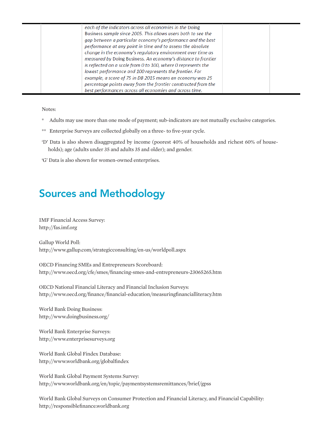| each of the indicators across all economies in the Doing<br>Business sample since 2005. This allows users both to see the<br>gap between a particular economy's performance and the best<br>performance at any point in time and to assess the absolute<br>change in the economy's regulatory environment over time as<br>measured by Doing Business. An economy's distance to frontier<br>is reflected on a scale from 0 to 100, where 0 represents the<br>lowest performance and 100 represents the frontier. For<br>example, a score of 75 in DB 2015 means an economy was 25 |  |
|----------------------------------------------------------------------------------------------------------------------------------------------------------------------------------------------------------------------------------------------------------------------------------------------------------------------------------------------------------------------------------------------------------------------------------------------------------------------------------------------------------------------------------------------------------------------------------|--|
| percentage points away from the frontier constructed from the                                                                                                                                                                                                                                                                                                                                                                                                                                                                                                                    |  |
| best performances across all economies and across time.                                                                                                                                                                                                                                                                                                                                                                                                                                                                                                                          |  |

Notes:

- Adults may use more than one mode of payment; sub-indicators are not mutually exclusive categories.
- \*\* Enterprise Surveys are collected globally on a three- to five-year cycle.
- 'D' Data is also shown disaggregated by income (poorest 40% of households and richest 60% of households); age (adults under 35 and adults 35 and older); and gender.
- 'G' Data is also shown for women-owned enterprises.

# Sources and Methodology

IMF Financial Access Survey: http://fas.imf.org

Gallup World Poll: http://www.gallup.com/strategicconsulting/en-us/worldpoll.aspx

OECD Financing SMEs and Entrepreneurs Scoreboard: http://www.oecd.org/cfe/smes/financing-smes-and-entrepreneurs-23065265.htm

OECD National Financial Literacy and Financial Inclusion Surveys: http://www.oecd.org/finance/financial-education/measuringfinancialliteracy.htm

World Bank Doing Business: http://www.doingbusiness.org/

World Bank Enterprise Surveys: http://www.enterprisesurveys.org

World Bank Global Findex Database: http://www.worldbank.org/globalfindex

World Bank Global Payment Systems Survey: http://www.worldbank.org/en/topic/paymentsystemsremittances/brief/gpss

World Bank Global Surveys on Consumer Protection and Financial Literacy, and Financial Capability: http://responsiblefinance.worldbank.org